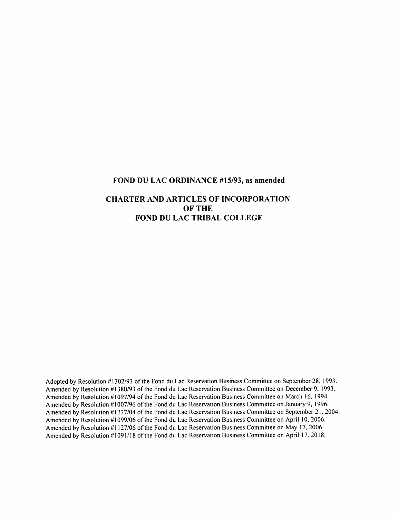#### FOND DU LAC ORDINANCE #15/93, as amended

#### CHARTER AND ARTICLES OF INCORPORATION OF THE FOND DU LAC TRIBAL COLLEGE

Adopted by Resolution #1302/93 of the Fond du Lac Reservation Business Committee on September 28, 1993. Amended by Resolution #1380/93 of the Fond du Lac Reservation Business Committee on December 9, 1993. Amended by Resolution #1097/94 of the Fond du Lac Reservation Business Committee on March 16, 1994. Amended by Resolution #1007/96 of the Fond du Lac Reservation Business Committee on January 9, 1996. Amended by Resolution #1237/04 of the Fond du Lac Reservation Business Committee on September 21, 2004. Amended by Resolution #1099/06 of the Fond du Lac Reservation Business Committee on April 10, 2006. Amended by Resolution #1127/06 of the Fond du Lac Reservation Business Committee on May 17, 2006. Amended by Resolution #1091/18 of the Fond du Lac Reservation Business Committee on April 17, 2018.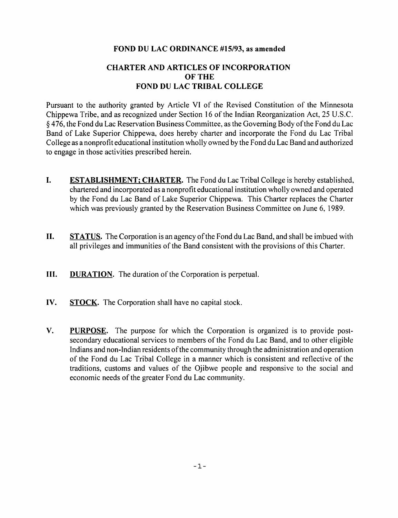#### FOND DU LAC ORDINANCE #15/93, as amended

### CHARTER AND ARTICLES OF INCORPORATION OF THE FOND DU LAC TRIBAL COLLEGE

Pursuant to the authority granted by Article VI of the Revised Constitution of the Minnesota Chippewa Tribe, and as recognized under Section 16 of the Indian Reorganization Act, 25 U.S.C. § 476, the Fond du Lac Reservation Business Committee, as the Governing Body ofthe Fond du Lac Band of Lake Superior Chippewa, does hereby charter and incorporate the Fond du Lac Tribal College as a nonprofit educational institution wholly owned by the Fond du Lac Band and authorized to engage in those activities prescribed herein.

- 1. ESTABLISHMENT: CHARTER. The Fond du Lac Tribal College is hereby established, chartered and incorporated as a nonprofit educational institution wholly owned and operated by the Fond du Lac Band of Lake Superior Chippewa. This Charter replaces the Charter which was previously granted by the Reservation Business Committee on June 6, 1989.
- H. STATUS. The Corporation is an agency ofthe Fond du Lac Band, and shall be imbued with all privileges and immunities of the Band consistent with the provisions of this Charter.
- **HI.** DURATION. The duration of the Corporation is perpetual.
- IV. STOCK. The Corporation shall have no capital stock.
- V. PURPOSE. The purpose for which the Corporation is organized is to provide postsecondary educational services to members of the Fond du Lac Band, and to other eligible Indians and non-Indian residents of the community through the administration and operation of the Fond du Lac Tribal College in a manner which is consistent and reflective of the traditions, customs and values of the Ojibwe people and responsive to the social and economic needs of the greater Fond du Lac community.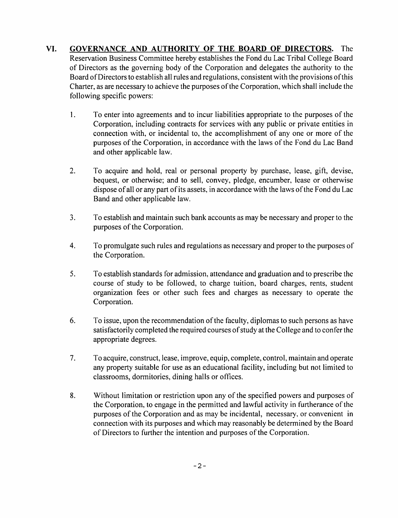VI. GOVERNANCE AND AUTHORITY OF THE BOARD OF DIRECTORS. The Reservation Business Committee hereby establishes the Fond du Lac Tribal College Board of Directors as the governing body of the Corporation and delegates the authority to the Board of Directors to establish all rules and regulations, consistent with the provisions of this Charter, as are necessary to achieve the purposes of the Corporation, which shall include the following specific powers:

- 1. To enter into agreements and to incur liabilities appropriate to the purposes of the Corporation, including contracts for services with any public or private entities in connection with, or incidental to, the accomplishment of any one or more of the purposes of the Corporation, in accordance with the laws of the Fond du Lac Band and other applicable law.
- 2. To acquire and hold, real or personal property by purchase, lease, gift, devise, bequest, or otherwise; and to sell, convey, pledge, encumber, lease or otherwise dispose of all or any part of its assets, in accordance with the laws of the Fond du Lac Band and other applicable law.
- 3. To establish and maintain such bank accounts as may be necessary and proper to the purposes of the Corporation.
- 4. To promulgate such rules and regulations as necessary and proper to the purposes of the Corporation.
- 5. To establish standards for admission, attendance and graduation and to prescribe the course of study to be followed, to charge tuition, board charges, rents, student organization fees or other such fees and charges as necessary to operate the Corporation.
- 6. To issue, upon the recommendation ofthe faculty, diplomas to such persons as have satisfactorily completed the required courses of study at the College and to confer the appropriate degrees.
- 7. To acquire, construct, lease, improve, equip, complete, control, maintain and operate any property suitable for use as an educational facility, including but not limited to classrooms, dormitories, dining halls or offices.
- 8. Without limitation or restriction upon any of the specified powers and purposes of the Corporation, to engage in the permitted and lawful activity in furtherance of the purposes of the Corporation and as may be incidental, necessary, or convenient in connection with its purposes and which may reasonably be determined by the Board of Directors to further the intention and purposes of the Corporation.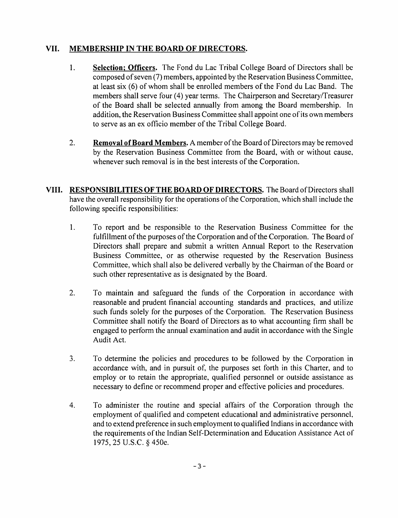## VII. MEMBERSHIP IN THE BOARD OF DIRECTORS.

- 1. Selection; Officers. The Fond du Lac Tribal College Board of Directors shall be composed of seven (7) members, appointed by the Reservation Business Committee, at least six (6) of whom shall be enrolled members of the Fond du Lac Band. The members shall serve four (4) year terms. The Chairperson and Secretary/Treasurer of the Board shall be selected annually from among the Board membership. In addition, the Reservation Business Committee shall appoint one of its own members to serve as an ex officio member of the Tribal College Board.
- 2. Removal of Board Members. A member of the Board of Directors may be removed by the Reservation Business Committee from the Board, with or without cause, whenever such removal is in the best interests of the Corporation.
- VIII. RESPONSIBILITIES OF THE BOARD OF DIRECTORS. The Board of Directors shall have the overall responsibility for the operations of the Corporation, which shall include the following specific responsibilities:
	- 1. To report and be responsible to the Reservation Business Committee for the fulfillment of the purposes of the Corporation and of the Corporation. The Board of Directors shall prepare and submit a written Annual Report to the Reservation Business Committee, or as otherwise requested by the Reservation Business Committee, which shall also be delivered verbally by the Chairman of the Board or such other representative as is designated by the Board.
	- 2. To maintain and safeguard the funds of the Corporation in accordance with reasonable and prudent financial accounting standards and practices, and utilize such funds solely for the purposes of the Corporation. The Reservation Business Committee shall notify the Board of Directors as to what accounting firm shall be engaged to perform the annual examination and audit in accordance with the Single Audit Act.
	- 3. To determine the policies and procedures to be followed by the Corporation in accordance with, and in pursuit of, the purposes set forth in this Charter, and to employ or to retain the appropriate, qualified personnel or outside assistance as necessary to define or recommend proper and effective policies and procedures.
	- 4. To administer the routine and special affairs of the Corporation through the employment of qualified and competent educational and administrative personnel, and to extend preference in such employment to qualified Indians in accordance with the requirements of the Indian Self-Determination and Education Assistance Act of 1975,25 U.S.C. §450e.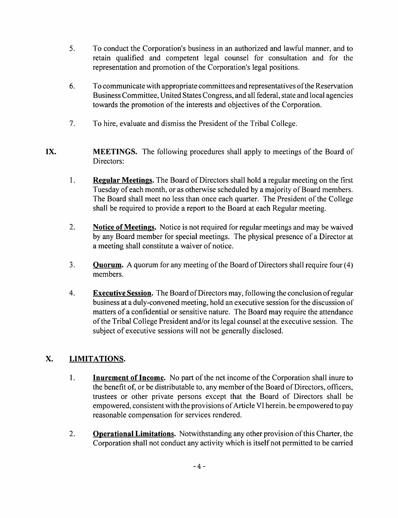- 5. To conduct the Corporation's business in an authorized and lawful manner, and to retain qualified and competent legal counsel for consultation and for the representation and promotion of the Corporation's legal positions.
- 6. To communicate with appropriate committees and representatives ofthe Reservation Business Committee, United States Congress, and all federal, state and local agencies towards the promotion of the interests and objectives of the Corporation.
- 7. To hire, evaluate and dismiss the President of the Tribal College.
- IX. MEETINGS. The following procedures shall apply to meetings of the Board of Directors:
	- 1. Regular Meetings. The Board of Directors shall hold a regular meeting on the first Tuesday of each month, or as otherwise scheduled by a majority of Board members. The Board shall meet no less than once each quarter. The President of the College shall be required to provide a report to the Board at each Regular meeting.
	- 2. Notice of Meetings. Notice is not required for regular meetings and may be waived by any Board member for special meetings. The physical presence of a Director at a meeting shall constitute a waiver of notice.
	- 3. **Quorum.** A quorum for any meeting of the Board of Directors shall require four (4) members.
	- 4. Executive Session. The Board ofDirectors may, following the conclusion ofregular business at a duly-convened meeting, hold an executive session for the discussion of matters of a confidential or sensitive nature. The Board may require the attendance ofthe Tribal College President and/or its legal counsel at the executive session. The subject of executive sessions will not be generally disclosed.

# X. LIMITATIONS.

- 1. Inurement of Income. No part of the net income of the Corporation shall inure to the benefit of, or be distributable to, any member of the Board of Directors, officers, trustees or other private persons except that the Board of Directors shall be empowered, consistent with the provisions of Article VI herein, be empowered to pay reasonable compensation for services rendered.
- 2. **Operational Limitations.** Notwithstanding any other provision of this Charter, the Corporation shall not conduct any activity which is itself not permitted to be carried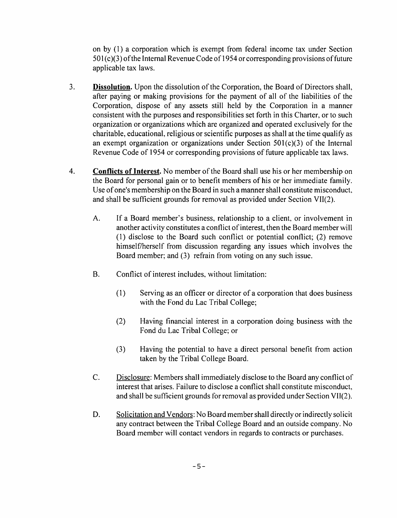on by (1) a corporation which is exempt from federal income tax under Section  $501(c)(3)$  of the Internal Revenue Code of 1954 or corresponding provisions of future applicable tax laws.

- 3. **Dissolution.** Upon the dissolution of the Corporation, the Board of Directors shall, after paying or making provisions for the payment of all of the liabilities of the Corporation, dispose of any assets still held by the Corporation in a manner consistent with the purposes and responsibilities set forth in this Charter, or to such organization or organizations which are organized and operated exclusively for the charitable, educational, religious or scientific purposes as shall at the time qualify as an exempt organization or organizations under Section 501(c)(3) of the Internal Revenue Code of 1954 or corresponding provisions of future applicable tax laws.
- 4. Conflicts of Interest. No member of the Board shall use his or her membership on the Board for personal gain or to benefit members of his or her immediate family. Use of one's membership on the Board in such a manner shall constitute misconduct, and shall be sufficient grounds for removal as provided under Section VII(2).
	- A. If a Board member's business, relationship to a client, or involvement in another activity constitutes a conflict of interest, then the Board member will (1) disclose to the Board such conflict or potential conflict; (2) remove himself/herself from discussion regarding any issues which involves the Board member; and (3) refrain from voting on any such issue.
	- B. Conflict of interest includes, without limitation:
		- (1) Serving as an officer or director of a corporation that does business with the Fond du Lac Tribal College;
		- (2) Having financial interest in a corporation doing business with the Fond du Lac Tribal College; or
		- (3) Having the potential to have a direct personal benefit from action taken by the Tribal College Board.
	- C. Disclosure: Members shall immediately disclose to the Board any conflict of interest that arises. Failure to disclose a conflict shall constitute misconduct, and shall be sufficient grounds for removal as provided under Section V1I(2).
	- D. Solicitation and Vendors: No Board membershall directly or indirectly solicit any contract between the Tribal College Board and an outside company. No Board member will contact vendors in regards to contracts or purchases.